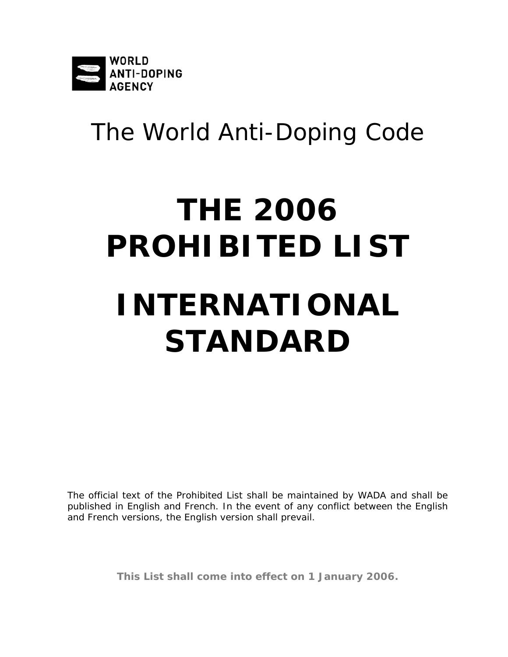

## The World Anti-Doping Code

# **THE 2006 PROHIBITED LIST INTERNATIONAL STANDARD**

The official text of the *Prohibited List* shall be maintained by *WADA* and shall be published in English and French. In the event of any conflict between the English and French versions, the English version shall prevail.

**This List shall come into effect on 1 January 2006.**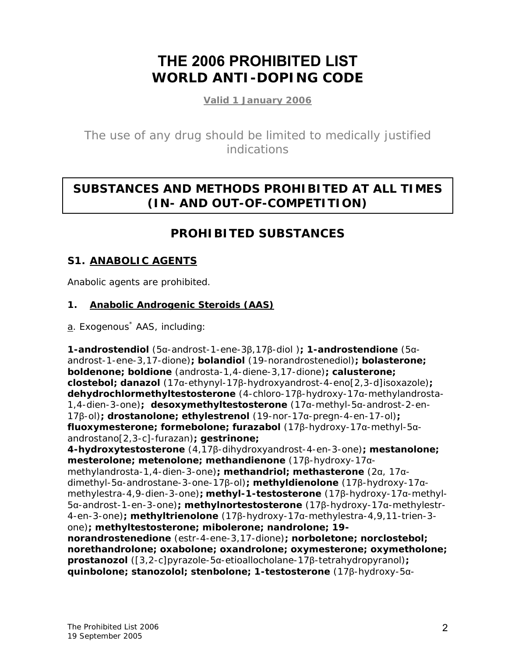## **THE 2006 PROHIBITED LIST WORLD ANTI-DOPING CODE**

**Valid 1 January 2006**

The use of any drug should be limited to medically justified indications

## **SUBSTANCES AND METHODS PROHIBITED AT ALL TIMES (IN- AND OUT-OF-COMPETITION)**

### **PROHIBITED SUBSTANCES**

#### **S1. ANABOLIC AGENTS**

Anabolic agents are prohibited.

#### **1. Anabolic Androgenic Steroids (AAS)**

a. Exogenous<sup>\*</sup> AAS, including:

**1-androstendiol** (5α-androst-1-ene-3β,17β-diol )**; 1-androstendione** (5αandrost-1-ene-3,17-dione)**; bolandiol** (19-norandrostenediol)**; bolasterone; boldenone; boldione** (androsta-1,4-diene-3,17-dione)**; calusterone; clostebol; danazol** (17α-ethynyl-17β-hydroxyandrost-4-eno[2,3-d]isoxazole)**; dehydrochlormethyltestosterone** (4-chloro-17β-hydroxy-17α-methylandrosta-1,4-dien-3-one)**; desoxymethyltestosterone** (17α-methyl-5α-androst-2-en-17β-ol)**; drostanolone; ethylestrenol** (19-nor-17α-pregn-4-en-17-ol)**; fluoxymesterone; formebolone; furazabol** (17β-hydroxy-17α-methyl-5αandrostano[2,3-c]-furazan)**; gestrinone;** 

**4-hydroxytestosterone** (4,17β-dihydroxyandrost-4-en-3-one)**; mestanolone; mesterolone; metenolone; methandienone** (17β-hydroxy-17αmethylandrosta-1,4-dien-3-one)**; methandriol; methasterone** (2α, 17αdimethyl-5α-androstane-3-one-17β-ol)**; methyldienolone** (17β-hydroxy-17αmethylestra-4,9-dien-3-one)**; methyl-1-testosterone** (17β-hydroxy-17α-methyl-5α-androst-1-en-3-one)**; methylnortestosterone** (17β-hydroxy-17α-methylestr-4-en-3-one)**; methyltrienolone** (17β-hydroxy-17α-methylestra-4,9,11-trien-3 one)**; methyltestosterone; mibolerone; nandrolone; 19 norandrostenedione** (estr-4-ene-3,17-dione)**; norboletone; norclostebol;** 

**norethandrolone; oxabolone; oxandrolone; oxymesterone; oxymetholone; prostanozol** ([3,2-c]pyrazole-5α-etioallocholane-17β-tetrahydropyranol)**; quinbolone; stanozolol; stenbolone; 1-testosterone** (17β-hydroxy-5α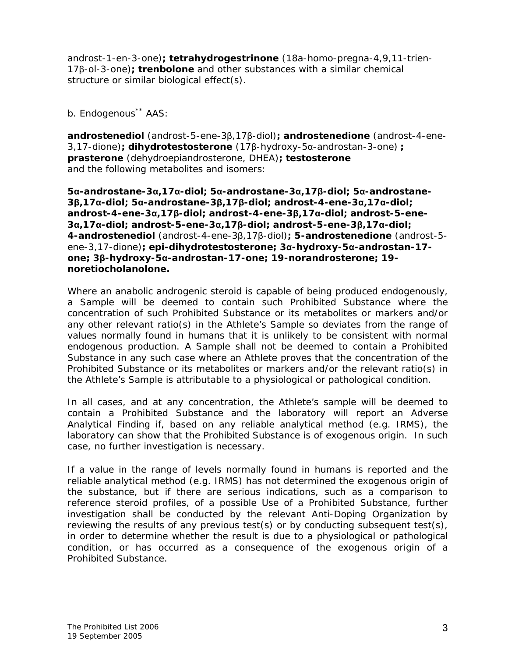androst-1-en-3-one)**; tetrahydrogestrinone** (18a-homo-pregna-4,9,11-trien-17β-ol-3-one)**; trenbolone** and other substances with a similar chemical structure or similar biological effect(s).

b. Endogenous<sup>\*\*</sup> AAS:

**androstenediol** (androst-5-ene-3β,17β-diol)**; androstenedione** (androst-4-ene-3,17-dione)**; dihydrotestosterone** (17β-hydroxy-5α-androstan-3-one) **; prasterone** (dehydroepiandrosterone, DHEA)**; testosterone** and the following metabolites and isomers:

**5α-androstane-3α,17α-diol; 5α-androstane-3α,17β-diol; 5α-androstane-3β,17α-diol; 5α-androstane-3β,17β-diol; androst-4-ene-3α,17α-diol; androst-4-ene-3α,17β-diol; androst-4-ene-3β,17α-diol; androst-5-ene-3α,17α-diol; androst-5-ene-3α,17β-diol; androst-5-ene-3β,17α-diol; 4-androstenediol** (androst-4-ene-3β,17β-diol)**; 5-androstenedione** (androst-5 ene-3,17-dione)**; epi-dihydrotestosterone; 3α-hydroxy-5α-androstan-17 one; 3β-hydroxy-5α-androstan-17-one; 19-norandrosterone; 19 noretiocholanolone.**

Where an anabolic androgenic steroid is capable of being produced endogenously, a *Sample* will be deemed to contain such *Prohibited Substance* where the concentration of such *Prohibited Substance* or its metabolites or markers and/or any other relevant ratio(s) in the *Athlete*'s *Sample* so deviates from the range of values normally found in humans that it is unlikely to be consistent with normal endogenous production. A *Sample* shall not be deemed to contain a *Prohibited Substance* in any such case where an *Athlete* proves that the concentration of the *Prohibited Substance* or its metabolites or markers and/or the relevant ratio(s) in the *Athlete*'s *Sample* is attributable to a physiological or pathological condition.

In all cases, and at any concentration, the *Athlete*'s sample will be deemed to contain a *Prohibited Substance* and the laboratory will report an *Adverse Analytical Finding* if, based on any reliable analytical method (e.g. IRMS), the laboratory can show that the *Prohibited Substance* is of exogenous origin. In such case, no further investigation is necessary.

If a value in the range of levels normally found in humans is reported and the reliable analytical method (e.g. IRMS) has not determined the exogenous origin of the substance, but if there are serious indications, such as a comparison to reference steroid profiles, of a possible *Use* of a *Prohibited Substance,* further investigation shall be conducted by the relevant *Anti-Doping Organization* by reviewing the results of any previous test(s) or by conducting subsequent test(s), in order to determine whether the result is due to a physiological or pathological condition, or has occurred as a consequence of the exogenous origin of a *Prohibited Substance*.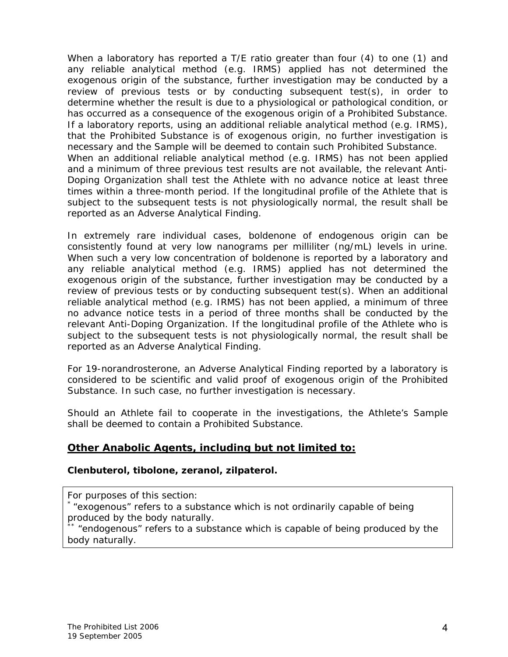When a laboratory has reported a T/E ratio greater than four (4) to one (1) and any reliable analytical method (e.g. IRMS) applied has not determined the exogenous origin of the substance, further investigation may be conducted by a review of previous tests or by conducting subsequent test(s), in order to determine whether the result is due to a physiological or pathological condition, or has occurred as a consequence of the exogenous origin of a *Prohibited Substance*. If a laboratory reports, using an additional reliable analytical method (e.g. IRMS), that the *Prohibited Substance* is of exogenous origin, no further investigation is necessary and the *Sample* will be deemed to contain such *Prohibited Substance*. When an additional reliable analytical method (e.g. IRMS) has not been applied and a minimum of three previous test results are not available, the relevant *Anti-Doping Organization* shall test the *Athlete* with no advance notice at least three times within a three-month period. If the longitudinal profile of the *Athlete* that is subject to the subsequent tests is not physiologically normal, the result shall be reported as an *Adverse Analytical Finding*.

In extremely rare individual cases, boldenone of endogenous origin can be consistently found at very low nanograms per milliliter (ng/mL) levels in urine. When such a very low concentration of boldenone is reported by a laboratory and any reliable analytical method (e.g. IRMS) applied has not determined the exogenous origin of the substance, further investigation may be conducted by a review of previous tests or by conducting subsequent test(s). When an additional reliable analytical method (e.g. IRMS) has not been applied, a minimum of three no advance notice tests in a period of three months shall be conducted by the relevant *Anti-Doping Organization*. If the longitudinal profile of the *Athlete* who is subject to the subsequent tests is not physiologically normal, the result shall be reported as an *Adverse Analytical Finding*.

For 19-norandrosterone, an *Adverse Analytical Finding* reported by a laboratory is considered to be scientific and valid proof of exogenous origin of the *Prohibited Substance*. In such case, no further investigation is necessary.

Should an *Athlete* fail to cooperate in the investigations, the *Athlete*'s *Sample* shall be deemed to contain a *Prohibited Substance*.

#### **Other Anabolic Agents, including but not limited to:**

#### **Clenbuterol, tibolone, zeranol, zilpaterol.**

*For purposes of this section:* 

\* *"exogenous" refers to a substance which is not ordinarily capable of being produced by the body naturally.*

\*\* *"endogenous" refers to a substance which is capable of being produced by the body naturally.*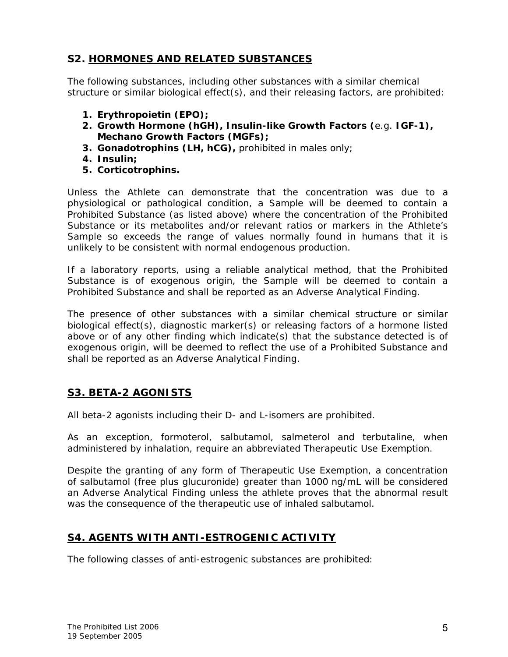#### **S2. HORMONES AND RELATED SUBSTANCES**

The following substances, including other substances with a similar chemical structure or similar biological effect(s), and their releasing factors, are prohibited:

- **1. Erythropoietin (EPO);**
- **2. Growth Hormone (hGH), Insulin-like Growth Factors (**e.g. **IGF-1), Mechano Growth Factors (MGFs);**
- **3. Gonadotrophins (LH, hCG),** prohibited in males only;
- **4. Insulin;**
- **5. Corticotrophins.**

Unless the *Athlete* can demonstrate that the concentration was due to a physiological or pathological condition, a *Sample* will be deemed to contain a *Prohibited Substance* (as listed above) where the concentration of the *Prohibited Substance* or its metabolites and/or relevant ratios or markers in the *Athlete*'s *Sample* so exceeds the range of values normally found in humans that it is unlikely to be consistent with normal endogenous production.

If a laboratory reports, using a reliable analytical method, that the *Prohibited Substance* is of exogenous origin, the *Sample* will be deemed to contain a *Prohibited Substance* and shall be reported as an *Adverse Analytical Finding*.

The presence of other substances with a similar chemical structure or similar biological effect(s), diagnostic marker(s) or releasing factors of a hormone listed above or of any other finding which indicate(s) that the substance detected is of exogenous origin, will be deemed to reflect the use of a *Prohibited Substance* and shall be reported as an *Adverse Analytical Finding*.

#### **S3. BETA-2 AGONISTS**

All beta-2 agonists including their D- and L-isomers are prohibited.

As an exception, formoterol, salbutamol, salmeterol and terbutaline, when administered by inhalation, require an abbreviated Therapeutic Use Exemption.

Despite the granting of any form of Therapeutic Use Exemption, a concentration of salbutamol (free plus glucuronide) greater than 1000 ng/mL will be considered an *Adverse Analytical Finding* unless the athlete proves that the abnormal result was the consequence of the therapeutic use of inhaled salbutamol.

#### **S4. AGENTS WITH ANTI-ESTROGENIC ACTIVITY**

The following classes of anti-estrogenic substances are prohibited: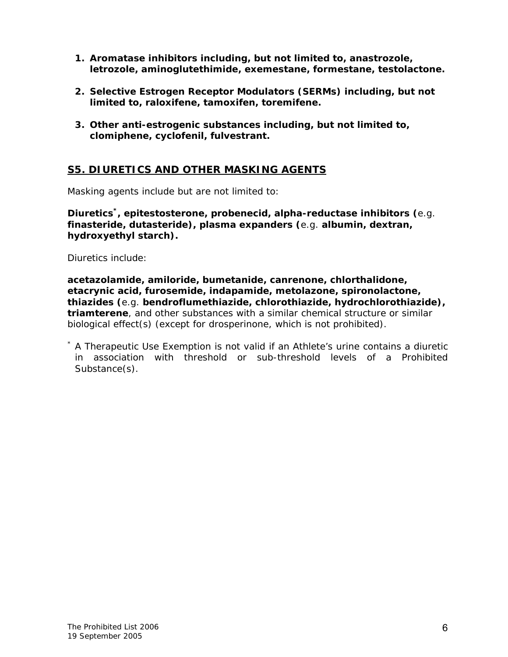- **1. Aromatase inhibitors including, but not limited to, anastrozole, letrozole, aminoglutethimide, exemestane, formestane, testolactone.**
- **2. Selective Estrogen Receptor Modulators (SERMs) including, but not limited to, raloxifene, tamoxifen, toremifene.**
- **3. Other anti-estrogenic substances including, but not limited to, clomiphene, cyclofenil, fulvestrant.**

#### **S5. DIURETICS AND OTHER MASKING AGENTS**

Masking agents include but are not limited to:

**Diuretics\*, epitestosterone, probenecid, alpha-reductase inhibitors (**e.g. **finasteride, dutasteride), plasma expanders (**e.g. **albumin, dextran, hydroxyethyl starch).** 

Diuretics include:

**acetazolamide, amiloride, bumetanide, canrenone, chlorthalidone, etacrynic acid, furosemide, indapamide, metolazone, spironolactone, thiazides (**e.g. **bendroflumethiazide, chlorothiazide, hydrochlorothiazide), triamterene**, and other substances with a similar chemical structure or similar biological effect(s) (except for drosperinone, which is not prohibited).

\* A Therapeutic Use Exemption is not valid if an *Athlete*'s urine contains a diuretic in association with threshold or sub-threshold levels of a *Prohibited Substance*(s).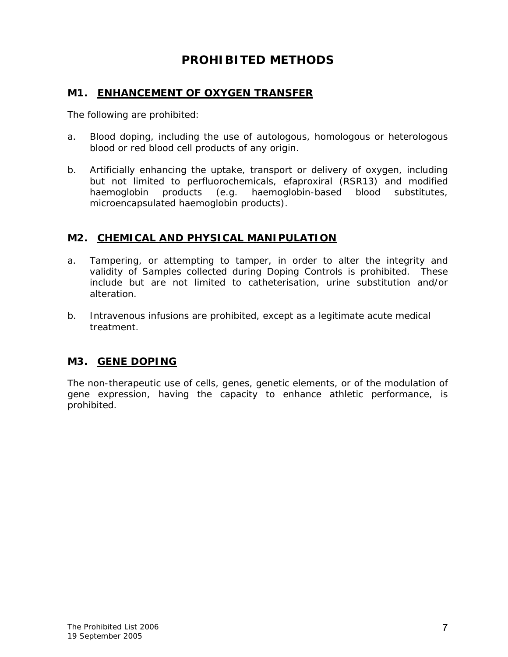#### **PROHIBITED METHODS**

#### **M1. ENHANCEMENT OF OXYGEN TRANSFER**

The following are prohibited:

- a. Blood doping, including the use of autologous, homologous or heterologous blood or red blood cell products of any origin.
- b. Artificially enhancing the uptake, transport or delivery of oxygen, including but not limited to perfluorochemicals, efaproxiral (RSR13) and modified haemoglobin products (e.g. haemoglobin-based blood substitutes, microencapsulated haemoglobin products).

#### **M2. CHEMICAL AND PHYSICAL MANIPULATION**

- a. *Tampering,* or attempting to tamper, in order to alter the integrity and validity of *Samples* collected during *Doping Controls* is prohibited. These include but are not limited to catheterisation, urine substitution and/or alteration.
- b. Intravenous infusions are prohibited, except as a legitimate acute medical treatment.

#### **M3. GENE DOPING**

The non-therapeutic use of cells, genes, genetic elements, or of the modulation of gene expression, having the capacity to enhance athletic performance, is prohibited.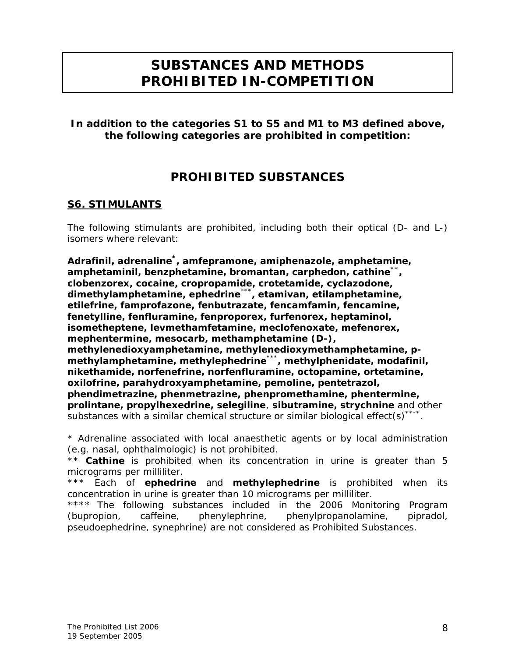## **SUBSTANCES AND METHODS PROHIBITED IN-COMPETITION**

**In addition to the categories S1 to S5 and M1 to M3 defined above, the following categories are prohibited in competition:** 

#### **PROHIBITED SUBSTANCES**

#### **S6. STIMULANTS**

The following stimulants are prohibited, including both their optical (D- and L-) isomers where relevant:

**Adrafinil, adrenaline\*, amfepramone, amiphenazole, amphetamine, amphetaminil, benzphetamine, bromantan, carphedon, cathine\*\*, clobenzorex, cocaine, cropropamide, crotetamide, cyclazodone, dimethylamphetamine, ephedrine**\*\*\***, etamivan, etilamphetamine, etilefrine, famprofazone, fenbutrazate, fencamfamin, fencamine, fenetylline, fenfluramine, fenproporex, furfenorex, heptaminol, isometheptene, levmethamfetamine, meclofenoxate, mefenorex, mephentermine, mesocarb, methamphetamine (D-), methylenedioxyamphetamine, methylenedioxymethamphetamine, pmethylamphetamine, methylephedrine**\*\*\***, methylphenidate, modafinil, nikethamide, norfenefrine, norfenfluramine, octopamine, ortetamine, oxilofrine, parahydroxyamphetamine, pemoline, pentetrazol, phendimetrazine, phenmetrazine, phenpromethamine, phentermine, prolintane, propylhexedrine, selegiline**, **sibutramine, strychnine** and other substances with a similar chemical structure or similar biological effect(s)<sup>\*\*\*\*</sup>.

\* Adrenaline associated with local anaesthetic agents or by local administration (e.g. nasal, ophthalmologic) is not prohibited.

\*\* **Cathine** is prohibited when its concentration in urine is greater than 5 micrograms per milliliter.

\*\*\* Each of **ephedrine** and **methylephedrine** is prohibited when its concentration in urine is greater than 10 micrograms per milliliter.

\*\*\*\* The following substances included in the 2006 Monitoring Program (bupropion, caffeine, phenylephrine, phenylpropanolamine, pipradol, pseudoephedrine, synephrine) are not considered as *Prohibited Substances*.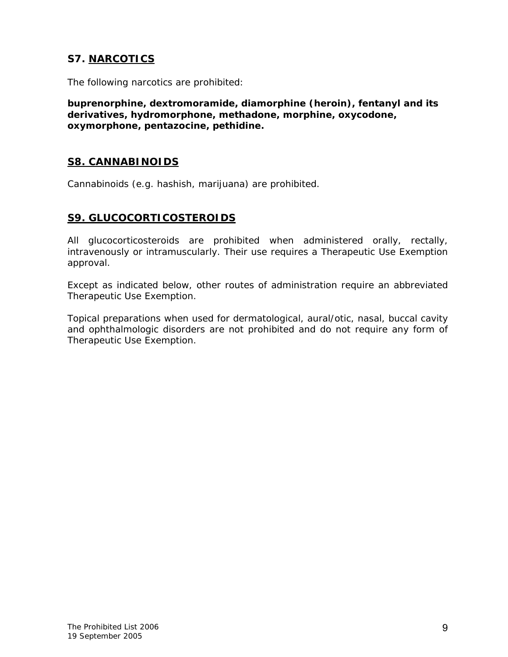#### **S7. NARCOTICS**

The following narcotics are prohibited:

**buprenorphine, dextromoramide, diamorphine (heroin), fentanyl and its derivatives, hydromorphone, methadone, morphine, oxycodone, oxymorphone, pentazocine, pethidine.** 

#### **S8. CANNABINOIDS**

Cannabinoids (e.g. hashish, marijuana) are prohibited.

#### **S9. GLUCOCORTICOSTEROIDS**

All glucocorticosteroids are prohibited when administered orally, rectally, intravenously or intramuscularly. Their use requires a Therapeutic Use Exemption approval.

Except as indicated below, other routes of administration require an abbreviated Therapeutic Use Exemption.

Topical preparations when used for dermatological, aural/otic, nasal, buccal cavity and ophthalmologic disorders are not prohibited and do not require any form of Therapeutic Use Exemption.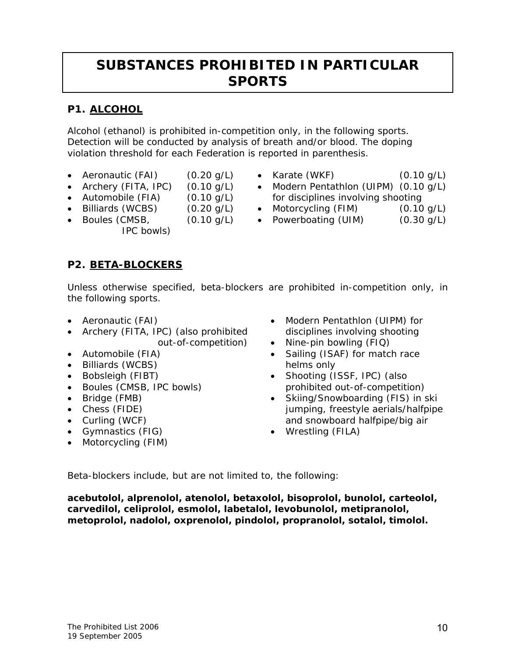## **SUBSTANCES PROHIBITED IN PARTICULAR SPORTS**

#### **P1. ALCOHOL**

Alcohol (ethanol) is prohibited *in-competition* only, in the following sports. Detection will be conducted by analysis of breath and/or blood. The doping violation threshold for each Federation is reported in parenthesis.

- Aeronautic (FAI) (0.20 g/L)
- Archery (FITA, IPC) (0.10 g/L)
	-
- Automobile (FIA) (0.10 g/L)
- Billiards (WCBS) (0.20 g/L)
- Boules (CMSB, (0.10 g/L)
	- IPC bowls)
- Karate (WKF) (0.10 g/L)
- Modern Pentathlon (UIPM) (0.10 g/L) for disciplines involving shooting
- Motorcycling (FIM) (0.10 g/L)
- Powerboating (UIM) (0.30 g/L)

**P2. BETA-BLOCKERS**

Unless otherwise specified, beta-blockers are prohibited *in-competition* only, in the following sports.

- Aeronautic (FAI)
- Archery (FITA, IPC) (also prohibited *out-of-competition*)
- Automobile (FIA)
- Billiards (WCBS)
- Bobsleigh (FIBT)
- Boules (CMSB, IPC bowls)
- Bridge (FMB)
- Chess (FIDE)
- Curling (WCF)
- Gymnastics (FIG)
- Motorcycling (FIM)
- Modern Pentathlon (UIPM) for disciplines involving shooting
- Nine-pin bowling (FIQ)
- Sailing (ISAF) for match race helms only
- Shooting (ISSF, IPC) (also prohibited *out-of-competition*)
- Skiing/Snowboarding (FIS) in ski jumping, freestyle aerials/halfpipe and snowboard halfpipe/big air
- Wrestling (FILA)

Beta-blockers include, but are not limited to, the following:

**acebutolol, alprenolol, atenolol, betaxolol, bisoprolol, bunolol, carteolol, carvedilol, celiprolol, esmolol, labetalol, levobunolol, metipranolol, metoprolol, nadolol, oxprenolol, pindolol, propranolol, sotalol, timolol.**